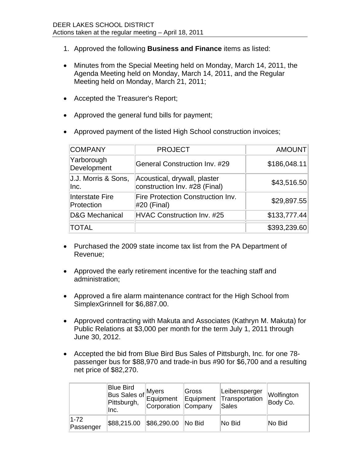- 1. Approved the following **Business and Finance** items as listed:
- Minutes from the Special Meeting held on Monday, March 14, 2011, the Agenda Meeting held on Monday, March 14, 2011, and the Regular Meeting held on Monday, March 21, 2011;
- Accepted the Treasurer's Report;
- Approved the general fund bills for payment;
- Approved payment of the listed High School construction invoices;

| <b>COMPANY</b>                       | <b>PROJECT</b>                                                | <b>AMOUNT</b> |
|--------------------------------------|---------------------------------------------------------------|---------------|
| Yarborough<br>Development            | <b>General Construction Inv. #29</b>                          | \$186,048.11  |
| J.J. Morris & Sons,<br>Inc.          | Acoustical, drywall, plaster<br>construction Inv. #28 (Final) | \$43,516.50   |
| <b>Interstate Fire</b><br>Protection | <b>Fire Protection Construction Inv.</b><br>#20 (Final)       | \$29,897.55   |
| <b>D&amp;G Mechanical</b>            | <b>HVAC Construction Inv. #25</b>                             | \$133,777.44  |
| <b>TOTAL</b>                         |                                                               | \$393,239.60  |

- Purchased the 2009 state income tax list from the PA Department of Revenue;
- Approved the early retirement incentive for the teaching staff and administration;
- Approved a fire alarm maintenance contract for the High School from SimplexGrinnell for \$6,887.00.
- Approved contracting with Makuta and Associates (Kathryn M. Makuta) for Public Relations at \$3,000 per month for the term July 1, 2011 through June 30, 2012.
- Accepted the bid from Blue Bird Bus Sales of Pittsburgh, Inc. for one 78 passenger bus for \$88,970 and trade-in bus #90 for \$6,700 and a resulting net price of \$82,270.

|                       | Blue Bird<br>Bus Sales of $\vert$ <sup>lviyoro</sup><br>Equipment $\vert$ <sup>1</sup><br>Pittsburgh,<br>llnc. | Corporation Company | <b>Gross</b><br>Equipment    | Leibensperger<br>Transportation<br>Sales | Wolfington<br>Body Co. |
|-----------------------|----------------------------------------------------------------------------------------------------------------|---------------------|------------------------------|------------------------------------------|------------------------|
| $1 - 72$<br>Passenger | \$88,215.00                                                                                                    | \$86,290.00         | $\overline{\mathsf{No}}$ Bid | ∣No Bid                                  | ∣No Bid                |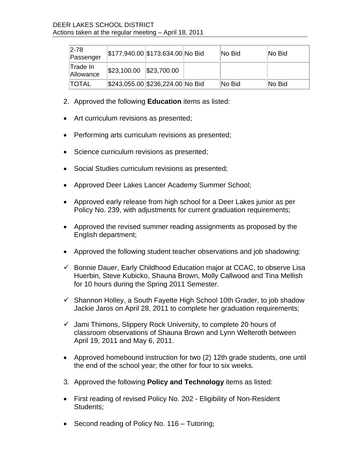| 2-78<br>Passenger      |                                  | \$177,940.00 \$173,634.00 No Bid | ∣No Bid | No Bid |
|------------------------|----------------------------------|----------------------------------|---------|--------|
| ∣Trade In<br>Allowance | $\frac{1523,100.00}{223,700.00}$ |                                  |         |        |
| <b>ITOTAL</b>          |                                  | \$243,055.00 \$236,224.00 No Bid | ∣No Bid | No Bid |

- 2. Approved the following **Education** items as listed:
- Art curriculum revisions as presented;
- Performing arts curriculum revisions as presented;
- Science curriculum revisions as presented;
- Social Studies curriculum revisions as presented;
- Approved Deer Lakes Lancer Academy Summer School;
- Approved early release from high school for a Deer Lakes junior as per Policy No. 239, with adjustments for current graduation requirements;
- Approved the revised summer reading assignments as proposed by the English department;
- Approved the following student teacher observations and job shadowing:
- $\checkmark$  Bonnie Dauer, Early Childhood Education major at CCAC, to observe Lisa Huerbin, Steve Kubicko, Shauna Brown, Molly Callwood and Tina Mellish for 10 hours during the Spring 2011 Semester.
- $\checkmark$  Shannon Holley, a South Fayette High School 10th Grader, to job shadow Jackie Jaros on April 28, 2011 to complete her graduation requirements;
- $\checkmark$  Jami Thimons, Slippery Rock University, to complete 20 hours of classroom observations of Shauna Brown and Lynn Welteroth between April 19, 2011 and May 6, 2011.
- Approved homebound instruction for two (2) 12th grade students, one until the end of the school year; the other for four to six weeks.
- 3. Approved the following **Policy and Technology** items as listed:
- First reading of revised Policy No. 202 Eligibility of Non-Resident Students;
- Second reading of Policy No. 116 Tutoring;